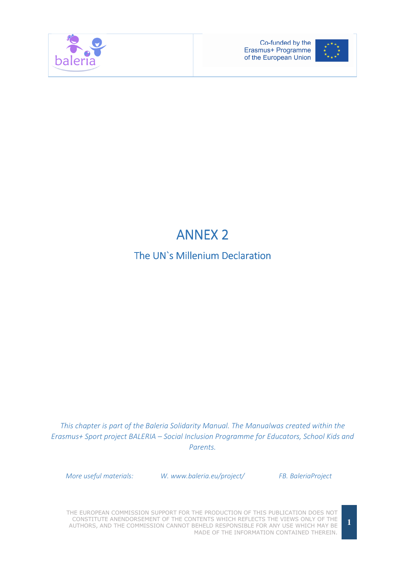



## **ANNEX 2**

## The UN`s Millenium Declaration

This chapter is part of the Baleria Solidarity Manual. The Manualwas created within the Erasmus+ Sport project BALERIA – Social Inclusion Programme for Educators, School Kids and Parents.

More useful materials: W. www.baleria.eu/project/ FB. BaleriaProject

THE EUROPEAN COMMISSION SUPPORT FOR THE PRODUCTION OF THIS PUBLICATION DOES NOT CONSTITUTE ANENDORSEMENT OF THE CONTENTS WHICH REFLECTS THE VIEWS ONLY OF THE AUTHORS, AND THE COMMISSION CANNOT BEHELD RESPONSIBLE FOR ANY USE WHICH MAY BE MADE OF THE INFORMATION CONTAINED THEREIN.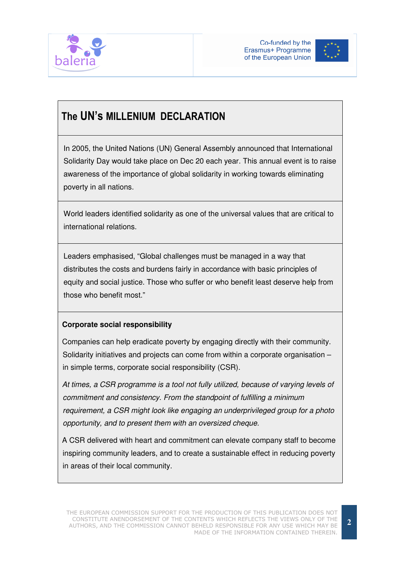



## The UN's MILLENIUM DECLARATION

In 2005, the United Nations (UN) General Assembly announced that International Solidarity Day would take place on Dec 20 each year. This annual event is to raise awareness of the importance of global solidarity in working towards eliminating poverty in all nations.

World leaders identified solidarity as one of the universal values that are critical to international relations.

Leaders emphasised, "Global challenges must be managed in a way that distributes the costs and burdens fairly in accordance with basic principles of equity and social justice. Those who suffer or who benefit least deserve help from those who benefit most."

## **Corporate social responsibility**

 Companies can help eradicate poverty by engaging directly with their community. Solidarity initiatives and projects can come from within a corporate organisation – in simple terms, corporate social responsibility (CSR).

 At times, a CSR programme is a tool not fully utilized, because of varying levels of commitment and consistency. From the standpoint of fulfilling a minimum requirement, a CSR might look like engaging an underprivileged group for a photo opportunity, and to present them with an oversized cheque.

 A CSR delivered with heart and commitment can elevate company staff to become inspiring community leaders, and to create a sustainable effect in reducing poverty in areas of their local community.